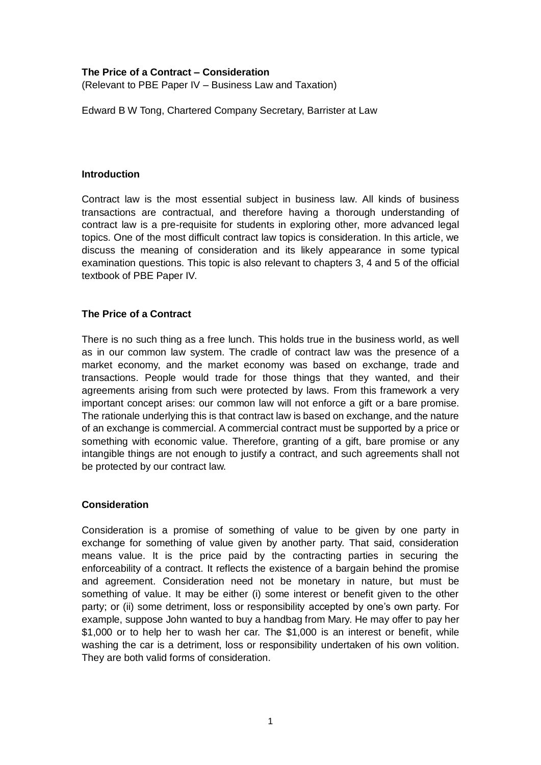## **The Price of a Contract – Consideration**

(Relevant to PBE Paper IV – Business Law and Taxation)

Edward B W Tong, Chartered Company Secretary, Barrister at Law

## **Introduction**

Contract law is the most essential subject in business law. All kinds of business transactions are contractual, and therefore having a thorough understanding of contract law is a pre-requisite for students in exploring other, more advanced legal topics. One of the most difficult contract law topics is consideration. In this article, we discuss the meaning of consideration and its likely appearance in some typical examination questions. This topic is also relevant to chapters 3, 4 and 5 of the official textbook of PBE Paper IV.

## **The Price of a Contract**

There is no such thing as a free lunch. This holds true in the business world, as well as in our common law system. The cradle of contract law was the presence of a market economy, and the market economy was based on exchange, trade and transactions. People would trade for those things that they wanted, and their agreements arising from such were protected by laws. From this framework a very important concept arises: our common law will not enforce a gift or a bare promise. The rationale underlying this is that contract law is based on exchange, and the nature of an exchange is commercial. A commercial contract must be supported by a price or something with economic value. Therefore, granting of a gift, bare promise or any intangible things are not enough to justify a contract, and such agreements shall not be protected by our contract law.

## **Consideration**

Consideration is a promise of something of value to be given by one party in exchange for something of value given by another party. That said, consideration means value. It is the price paid by the contracting parties in securing the enforceability of a contract. It reflects the existence of a bargain behind the promise and agreement. Consideration need not be monetary in nature, but must be something of value. It may be either (i) some interest or benefit given to the other party; or (ii) some detriment, loss or responsibility accepted by one's own party. For example, suppose John wanted to buy a handbag from Mary. He may offer to pay her \$1,000 or to help her to wash her car. The \$1,000 is an interest or benefit, while washing the car is a detriment, loss or responsibility undertaken of his own volition. They are both valid forms of consideration.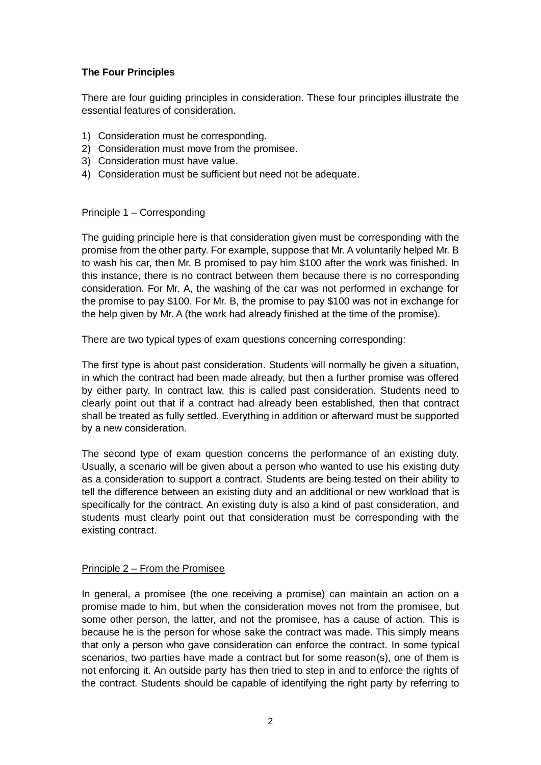# **The Four Principles**

There are four guiding principles in consideration. These four principles illustrate the essential features of consideration.

- 1) Consideration must be corresponding.
- 2) Consideration must move from the promisee.
- 3) Consideration must have value.
- 4) Consideration must be sufficient but need not be adequate.

## Principle 1 – Corresponding

The guiding principle here is that consideration given must be corresponding with the promise from the other party. For example, suppose that Mr. A voluntarily helped Mr. B to wash his car, then Mr. B promised to pay him \$100 after the work was finished. In this instance, there is no contract between them because there is no corresponding consideration. For Mr. A, the washing of the car was not performed in exchange for the promise to pay \$100. For Mr. B, the promise to pay \$100 was not in exchange for the help given by Mr. A (the work had already finished at the time of the promise).

There are two typical types of exam questions concerning corresponding:

The first type is about past consideration. Students will normally be given a situation, in which the contract had been made already, but then a further promise was offered by either party. In contract law, this is called past consideration. Students need to clearly point out that if a contract had already been established, then that contract shall be treated as fully settled. Everything in addition or afterward must be supported by a new consideration.

The second type of exam question concerns the performance of an existing duty. Usually, a scenario will be given about a person who wanted to use his existing duty as a consideration to support a contract. Students are being tested on their ability to tell the difference between an existing duty and an additional or new workload that is specifically for the contract. An existing duty is also a kind of past consideration, and students must clearly point out that consideration must be corresponding with the existing contract.

#### Principle 2 – From the Promisee

In general, a promisee (the one receiving a promise) can maintain an action on a promise made to him, but when the consideration moves not from the promisee, but some other person, the latter, and not the promisee, has a cause of action. This is because he is the person for whose sake the contract was made. This simply means that only a person who gave consideration can enforce the contract. In some typical scenarios, two parties have made a contract but for some reason(s), one of them is not enforcing it. An outside party has then tried to step in and to enforce the rights of the contract. Students should be capable of identifying the right party by referring to